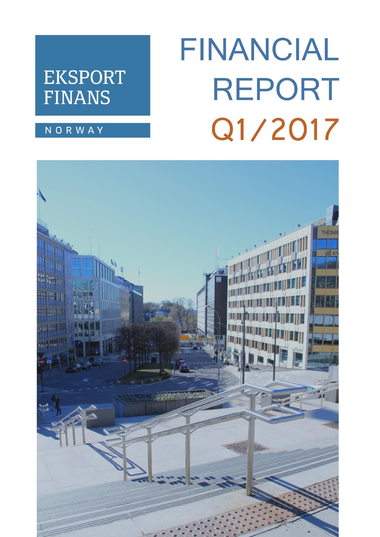## **EKSPORT FINANS**

# FINANCIAL **REPORT** Q1/2017

## **NORWAY**

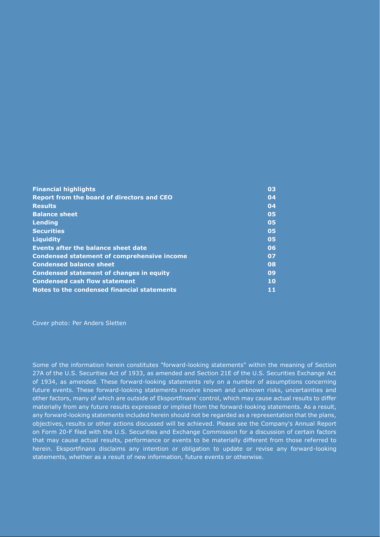| <b>Financial highlights</b>                        | 03 |
|----------------------------------------------------|----|
| <b>Report from the board of directors and CEO</b>  | 04 |
| <b>Results</b>                                     | 04 |
| <b>Balance sheet</b>                               | 05 |
| Lending                                            | 05 |
| <b>Securities</b>                                  | 05 |
| <b>Liquidity</b>                                   | 05 |
| Events after the balance sheet date                | 06 |
| <b>Condensed statement of comprehensive income</b> | 07 |
| <b>Condensed balance sheet</b>                     | 08 |
| <b>Condensed statement of changes in equity</b>    | 09 |
| <b>Condensed cash flow statement</b>               | 10 |
| Notes to the condensed financial statements        | 11 |

Cover photo: Per Anders Sletten

Some of the information herein constitutes "forward-looking statements" within the meaning of Section 27A of the U.S. Securities Act of 1933, as amended and Section 21E of the U.S. Securities Exchange Act of 1934, as amended. These forward-looking statements rely on a number of assumptions concerning future events. These forward-looking statements involve known and unknown risks, uncertainties and other factors, many of which are outside of Eksportfinans' control, which may cause actual results to differ materially from any future results expressed or implied from the forward-looking statements. As a result, any forward-looking statements included herein should not be regarded as a representation that the plans, objectives, results or other actions discussed will be achieved. Please see the Company's Annual Report on Form 20-F filed with the U.S. Securities and Exchange Commission for a discussion of certain factors that may cause actual results, performance or events to be materially different from those referred to herein. Eksportfinans disclaims any intention or obligation to update or revise any forward-looking statements, whether as a result of new information, future events or otherwise.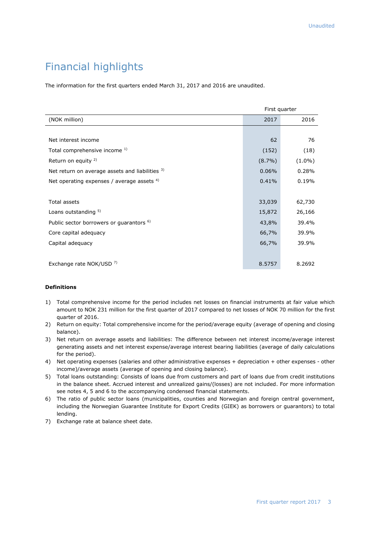## Financial highlights

The information for the first quarters ended March 31, 2017 and 2016 are unaudited.

|                                                     |           | First quarter |  |  |
|-----------------------------------------------------|-----------|---------------|--|--|
| (NOK million)                                       | 2017      | 2016          |  |  |
|                                                     |           |               |  |  |
| Net interest income                                 | 62        | 76            |  |  |
| Total comprehensive income 1)                       | (152)     | (18)          |  |  |
| Return on equity <sup>2)</sup>                      | $(8.7\%)$ | $(1.0\%)$     |  |  |
| Net return on average assets and liabilities 3)     | 0.06%     | 0.28%         |  |  |
| Net operating expenses / average assets $4$ )       | 0.41%     | 0.19%         |  |  |
|                                                     |           |               |  |  |
| Total assets                                        | 33,039    | 62,730        |  |  |
| Loans outstanding 5)                                | 15,872    | 26,166        |  |  |
| Public sector borrowers or quarantors <sup>6)</sup> | 43,8%     | 39.4%         |  |  |
| Core capital adequacy                               | 66,7%     | 39.9%         |  |  |
| Capital adequacy                                    | 66,7%     | 39.9%         |  |  |
|                                                     |           |               |  |  |
| Exchange rate NOK/USD 7)                            | 8.5757    | 8.2692        |  |  |

#### **Definitions**

- 1) Total comprehensive income for the period includes net losses on financial instruments at fair value which amount to NOK 231 million for the first quarter of 2017 compared to net losses of NOK 70 million for the first quarter of 2016.
- 2) Return on equity: Total comprehensive income for the period/average equity (average of opening and closing balance).
- 3) Net return on average assets and liabilities: The difference between net interest income/average interest generating assets and net interest expense/average interest bearing liabilities (average of daily calculations for the period).
- 4) Net operating expenses (salaries and other administrative expenses + depreciation + other expenses other income)/average assets (average of opening and closing balance).
- 5) Total loans outstanding: Consists of loans due from customers and part of loans due from credit institutions in the balance sheet. Accrued interest and unrealized gains/(losses) are not included. For more information see notes 4, 5 and 6 to the accompanying condensed financial statements.
- 6) The ratio of public sector loans (municipalities, counties and Norwegian and foreign central government, including the Norwegian Guarantee Institute for Export Credits (GIEK) as borrowers or guarantors) to total lending.
- 7) Exchange rate at balance sheet date.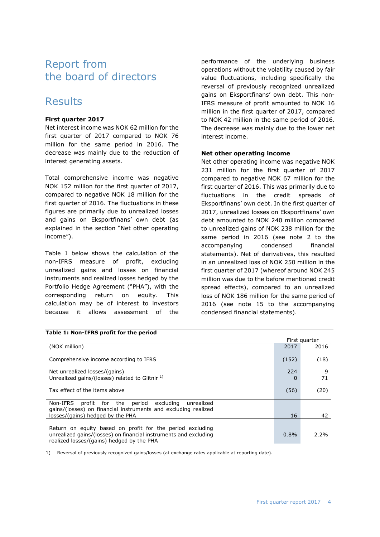## Report from the board of directors

## Results

#### **First quarter 2017**

Net interest income was NOK 62 million for the first quarter of 2017 compared to NOK 76 million for the same period in 2016. The decrease was mainly due to the reduction of interest generating assets.

Total comprehensive income was negative NOK 152 million for the first quarter of 2017, compared to negative NOK 18 million for the first quarter of 2016. The fluctuations in these figures are primarily due to unrealized losses and gains on Eksportfinans' own debt (as explained in the section "Net other operating income").

Table 1 below shows the calculation of the non-IFRS measure of profit, excluding unrealized gains and losses on financial instruments and realized losses hedged by the Portfolio Hedge Agreement ("PHA"), with the corresponding return on equity. This calculation may be of interest to investors because it allows assessment of the

performance of the underlying business operations without the volatility caused by fair value fluctuations, including specifically the reversal of previously recognized unrealized gains on Eksportfinans' own debt. This non-IFRS measure of profit amounted to NOK 16 million in the first quarter of 2017, compared to NOK 42 million in the same period of 2016. The decrease was mainly due to the lower net interest income.

#### **Net other operating income**

Net other operating income was negative NOK 231 million for the first quarter of 2017 compared to negative NOK 67 million for the first quarter of 2016. This was primarily due to fluctuations in the credit spreads of Eksportfinans' own debt. In the first quarter of 2017, unrealized losses on Eksportfinans' own debt amounted to NOK 240 million compared to unrealized gains of NOK 238 million for the same period in 2016 (see note 2 to the accompanying condensed financial statements). Net of derivatives, this resulted in an unrealized loss of NOK 250 million in the first quarter of 2017 (whereof around NOK 245 million was due to the before mentioned credit spread effects), compared to an unrealized loss of NOK 186 million for the same period of 2016 (see note 15 to the accompanying condensed financial statements).

|                                                                                                                                                                            |          | First quarter |
|----------------------------------------------------------------------------------------------------------------------------------------------------------------------------|----------|---------------|
| (NOK million)                                                                                                                                                              | 2017     | 2016          |
| Comprehensive income according to IFRS                                                                                                                                     | (152)    | (18)          |
| Net unrealized losses/(gains)<br>Unrealized gains/(losses) related to Glitnir <sup>1)</sup>                                                                                | 224<br>O | 9<br>71       |
| Tax effect of the items above                                                                                                                                              | (56)     | (20)          |
| profit for the period<br>excluding<br>Non-IFRS<br>unrealized<br>gains/(losses) on financial instruments and excluding realized<br>losses/(gains) hedged by the PHA         | 16       | 42            |
| Return on equity based on profit for the period excluding<br>unrealized gains/(losses) on financial instruments and excluding<br>realized losses/(gains) hedged by the PHA | 0.8%     | 2.2%          |

**Table 1: Non-IFRS profit for the period**

1) Reversal of previously recognized gains/losses (at exchange rates applicable at reporting date).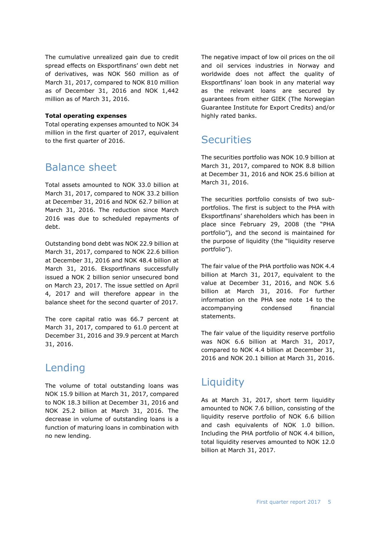The cumulative unrealized gain due to credit spread effects on Eksportfinans' own debt net of derivatives, was NOK 560 million as of March 31, 2017, compared to NOK 810 million as of December 31, 2016 and NOK 1,442 million as of March 31, 2016.

#### **Total operating expenses**

Total operating expenses amounted to NOK 34 million in the first quarter of 2017, equivalent to the first quarter of 2016.

## Balance sheet

Total assets amounted to NOK 33.0 billion at March 31, 2017, compared to NOK 33.2 billion at December 31, 2016 and NOK 62.7 billion at March 31, 2016. The reduction since March 2016 was due to scheduled repayments of debt.

Outstanding bond debt was NOK 22.9 billion at March 31, 2017, compared to NOK 22.6 billion at December 31, 2016 and NOK 48.4 billion at March 31, 2016. Eksportfinans successfully issued a NOK 2 billion senior unsecured bond on March 23, 2017. The issue settled on April 4, 2017 and will therefore appear in the balance sheet for the second quarter of 2017.

The core capital ratio was 66.7 percent at March 31, 2017, compared to 61.0 percent at December 31, 2016 and 39.9 percent at March 31, 2016.

#### Lending

The volume of total outstanding loans was NOK 15.9 billion at March 31, 2017, compared to NOK 18.3 billion at December 31, 2016 and NOK 25.2 billion at March 31, 2016. The decrease in volume of outstanding loans is a function of maturing loans in combination with no new lending.

The negative impact of low oil prices on the oil and oil services industries in Norway and worldwide does not affect the quality of Eksportfinans' loan book in any material way as the relevant loans are secured by guarantees from either GIEK (The Norwegian Guarantee Institute for Export Credits) and/or highly rated banks.

## **Securities**

The securities portfolio was NOK 10.9 billion at March 31, 2017, compared to NOK 8.8 billion at December 31, 2016 and NOK 25.6 billion at March 31, 2016.

The securities portfolio consists of two subportfolios. The first is subject to the PHA with Eksportfinans' shareholders which has been in place since February 29, 2008 (the "PHA portfolio"), and the second is maintained for the purpose of liquidity (the "liquidity reserve portfolio").

The fair value of the PHA portfolio was NOK 4.4 billion at March 31, 2017, equivalent to the value at December 31, 2016, and NOK 5.6 billion at March 31, 2016. For further information on the PHA see note 14 to the accompanying condensed financial statements.

The fair value of the liquidity reserve portfolio was NOK 6.6 billion at March 31, 2017, compared to NOK 4.4 billion at December 31, 2016 and NOK 20.1 billion at March 31, 2016.

## **Liquidity**

As at March 31, 2017, short term liquidity amounted to NOK 7.6 billion, consisting of the liquidity reserve portfolio of NOK 6.6 billion and cash equivalents of NOK 1.0 billion. Including the PHA portfolio of NOK 4.4 billion, total liquidity reserves amounted to NOK 12.0 billion at March 31, 2017.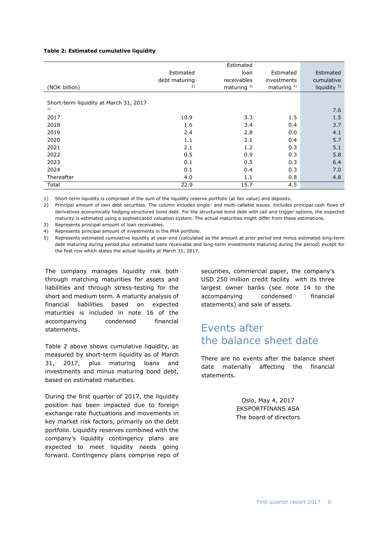#### **Table 2: Estimated cumulative liquidity**

|                                        |               | Estimated      |                |                         |
|----------------------------------------|---------------|----------------|----------------|-------------------------|
|                                        | Estimated     | loan           | Estimated      | Estimated               |
|                                        | debt maturing | receivables    | investments    | cumulative              |
| (NOK billion)                          | 2)            | maturing $3$ ) | maturing $4$ ) | liquidity <sup>5)</sup> |
|                                        |               |                |                |                         |
| Short-term liquidity at March 31, 2017 |               |                |                |                         |
| 1)                                     |               |                |                | 7.6                     |
| 2017                                   | 10.9          | 3.3            | 1.5            | 1.5                     |
| 2018                                   | 1.6           | 3.4            | 0.4            | 3.7                     |
| 2019                                   | 2.4           | 2.8            | 0.0            | 4.1                     |
| 2020                                   | 1.1           | 2.1            | 0.4            | 5.7                     |
| 2021                                   | 2.1           | 1.2            | 0.3            | 5.1                     |
| 2022                                   | 0.5           | 0.9            | 0.3            | 5.8                     |
| 2023                                   | 0.1           | 0.5            | 0.3            | 6.4                     |
| 2024                                   | 0.1           | 0.4            | 0.3            | 7.0                     |
| Thereafter                             | 4.0           | 1.1            | 0.8            | 4.8                     |
| Total                                  | 22.9          | 15.7           | 4.5            |                         |

1) Short-term liquidity is comprised of the sum of the liquidity reserve portfolio (at fair value) and deposits.

2) Principal amount of own debt securities. The column includes single- and multi-callable issues. Includes principal cash flows of derivatives economically hedging structured bond debt. For the structured bond debt with call and trigger options, the expected maturity is estimated using a sophisticated valuation system. The actual maturities might differ from these estimations.

3) Represents principal amount of loan receivables.

4) Represents principal amount of investments in the PHA portfolio.

5) Represents estimated cumulative liquidity at year-end (calculated as the amount at prior period end minus estimated long-term debt maturing during period plus estimated loans receivable and long-term investments maturing during the period) except for the first row which states the actual liquidity at March 31, 2017.

The company manages liquidity risk both through matching maturities for assets and liabilities and through stress-testing for the short and medium term. A maturity analysis of financial liabilities based on expected maturities is included in note 16 of the accompanying condensed financial statements.

Table 2 above shows cumulative liquidity, as measured by short-term liquidity as of March 31, 2017, plus maturing loans and investments and minus maturing bond debt, based on estimated maturities.

During the first quarter of 2017, the liquidity position has been impacted due to foreign exchange rate fluctuations and movements in key market risk factors, primarily on the debt portfolio. Liquidity reserves combined with the company's liquidity contingency plans are expected to meet liquidity needs going forward. Contingency plans comprise repo of securities, commercial paper, the company's USD 250 million credit facility with its three largest owner banks (see note 14 to the accompanying condensed financial statements) and sale of assets.

## Events after the balance sheet date

There are no events after the balance sheet date materially affecting the financial statements.

> Oslo, May 4, 2017 EKSPORTFINANS ASA The board of directors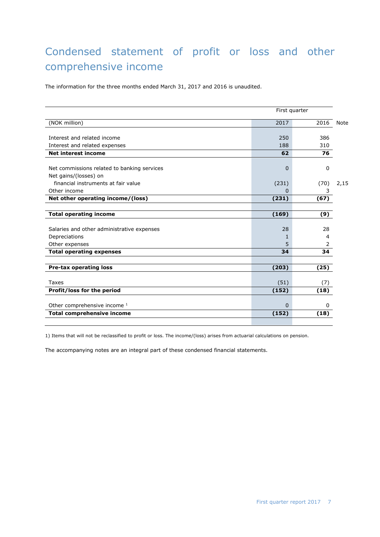## Condensed statement of profit or loss and other comprehensive income

The information for the three months ended March 31, 2017 and 2016 is unaudited.

|                                             | First quarter |      |      |
|---------------------------------------------|---------------|------|------|
| (NOK million)                               | 2017          | 2016 | Note |
|                                             |               |      |      |
| Interest and related income                 | 250           | 386  |      |
| Interest and related expenses               | 188           | 310  |      |
| <b>Net interest income</b>                  | 62            | 76   |      |
|                                             |               |      |      |
| Net commissions related to banking services | $\Omega$      | 0    |      |
| Net gains/(losses) on                       |               |      |      |
| financial instruments at fair value         | (231)         | (70) | 2,15 |
| Other income                                | 0             | 3    |      |
| Net other operating income/(loss)           | (231)         | (67) |      |
|                                             |               |      |      |
| <b>Total operating income</b>               | (169)         | (9)  |      |
|                                             |               |      |      |
| Salaries and other administrative expenses  | 28            | 28   |      |
| Depreciations                               |               | 4    |      |
| Other expenses                              | 5             | 2    |      |
| <b>Total operating expenses</b>             | 34            | 34   |      |
|                                             |               |      |      |
| <b>Pre-tax operating loss</b>               | (203)         | (25) |      |
|                                             |               |      |      |
| Taxes                                       | (51)          | (7)  |      |
| Profit/loss for the period                  | (152)         | (18) |      |
|                                             |               |      |      |
| Other comprehensive income 1                | 0             | o    |      |
| <b>Total comprehensive income</b>           | (152)         | (18) |      |
|                                             |               |      |      |

1) Items that will not be reclassified to profit or loss. The income/(loss) arises from actuarial calculations on pension.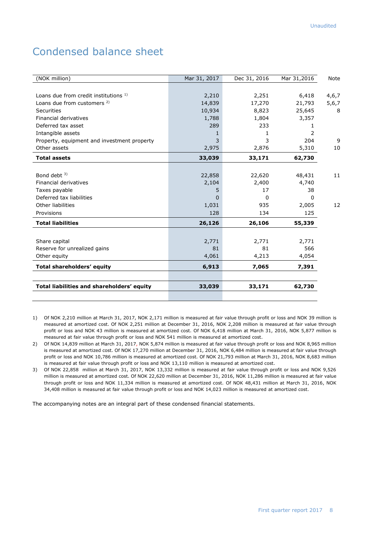## Condensed balance sheet

| (NOK million)                               | Mar 31, 2017 | Dec 31, 2016 | Mar 31,2016 | <b>Note</b> |
|---------------------------------------------|--------------|--------------|-------------|-------------|
|                                             |              |              |             |             |
| Loans due from credit institutions 1)       | 2,210        | 2,251        | 6,418       | 4,6,7       |
| Loans due from customers <sup>2)</sup>      | 14,839       | 17,270       | 21,793      | 5,6,7       |
| Securities                                  | 10,934       | 8,823        | 25,645      | 8           |
| Financial derivatives                       | 1,788        | 1,804        | 3,357       |             |
| Deferred tax asset                          | 289          | 233          | 1           |             |
| Intangible assets                           | 1            | 1            | 2           |             |
| Property, equipment and investment property | 3            | 3            | 204         | 9           |
| Other assets                                | 2,975        | 2,876        | 5,310       | 10          |
| <b>Total assets</b>                         | 33,039       | 33,171       | 62,730      |             |
|                                             |              |              |             |             |
| Bond debt $3$ )                             | 22,858       | 22,620       | 48,431      | 11          |
| Financial derivatives                       | 2,104        | 2,400        | 4,740       |             |
| Taxes payable                               | 5            | 17           | 38          |             |
| Deferred tax liabilities                    | 0            | $\Omega$     | 0           |             |
| Other liabilities                           | 1,031        | 935          | 2,005       | 12          |
| Provisions                                  | 128          | 134          | 125         |             |
| <b>Total liabilities</b>                    | 26,126       | 26,106       | 55,339      |             |
|                                             |              |              |             |             |
| Share capital                               | 2,771        | 2,771        | 2,771       |             |
| Reserve for unrealized gains                | 81           | 81           | 566         |             |
| Other equity                                | 4,061        | 4,213        | 4,054       |             |
| Total shareholders' equity                  | 6,913        | 7,065        | 7,391       |             |
|                                             |              |              |             |             |
| Total liabilities and shareholders' equity  | 33,039       | 33,171       | 62,730      |             |
|                                             |              |              |             |             |

- 1) Of NOK 2,210 million at March 31, 2017, NOK 2,171 million is measured at fair value through profit or loss and NOK 39 million is measured at amortized cost. Of NOK 2,251 million at December 31, 2016, NOK 2,208 million is measured at fair value through profit or loss and NOK 43 million is measured at amortized cost. Of NOK 6,418 million at March 31, 2016, NOK 5,877 million is measured at fair value through profit or loss and NOK 541 million is measured at amortized cost.
- 2) Of NOK 14,839 million at March 31, 2017, NOK 5,874 million is measured at fair value through profit or loss and NOK 8,965 million is measured at amortized cost. Of NOK 17,270 million at December 31, 2016, NOK 6,484 million is measured at fair value through profit or loss and NOK 10,786 million is measured at amortized cost. Of NOK 21,793 million at March 31, 2016, NOK 8,683 million is measured at fair value through profit or loss and NOK 13,110 million is measured at amortized cost.
- 3) Of NOK 22,858 million at March 31, 2017, NOK 13,332 million is measured at fair value through profit or loss and NOK 9,526 million is measured at amortized cost. Of NOK 22,620 million at December 31, 2016, NOK 11,286 million is measured at fair value through profit or loss and NOK 11,334 million is measured at amortized cost. Of NOK 48,431 million at March 31, 2016, NOK 34,408 million is measured at fair value through profit or loss and NOK 14,023 million is measured at amortized cost.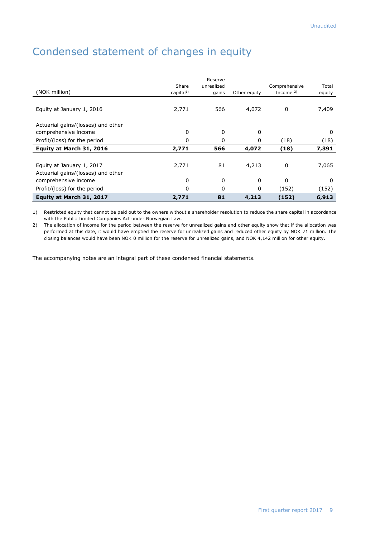## Condensed statement of changes in equity

| (NOK million)                      | Share<br>capital <sup>1</sup> | Reserve<br>unrealized<br>gains | Other equity | Comprehensive<br>Income $2$ ) | Total<br>equity |
|------------------------------------|-------------------------------|--------------------------------|--------------|-------------------------------|-----------------|
| Equity at January 1, 2016          | 2,771                         | 566                            | 4,072        | 0                             | 7,409           |
| Actuarial gains/(losses) and other |                               |                                |              |                               |                 |
| comprehensive income               | 0                             | 0                              | 0            |                               | $\Omega$        |
| Profit/(loss) for the period       | 0                             | 0                              | 0            | (18)                          | (18)            |
| Equity at March 31, 2016           | 2,771                         | 566                            | 4,072        | (18)                          | 7,391           |
|                                    |                               |                                |              |                               |                 |
| Equity at January 1, 2017          | 2,771                         | 81                             | 4,213        | 0                             | 7,065           |
| Actuarial gains/(losses) and other |                               |                                |              |                               |                 |
| comprehensive income               | 0                             | 0                              | 0            | $\Omega$                      | $\Omega$        |
| Profit/(loss) for the period       | 0                             | 0                              | 0            | (152)                         | (152)           |
| Equity at March 31, 2017           | 2,771                         | 81                             | 4,213        | (152)                         | 6,913           |

1) Restricted equity that cannot be paid out to the owners without a shareholder resolution to reduce the share capital in accordance with the Public Limited Companies Act under Norwegian Law.

2) The allocation of income for the period between the reserve for unrealized gains and other equity show that if the allocation was performed at this date, it would have emptied the reserve for unrealized gains and reduced other equity by NOK 71 million. The closing balances would have been NOK 0 million for the reserve for unrealized gains, and NOK 4,142 million for other equity.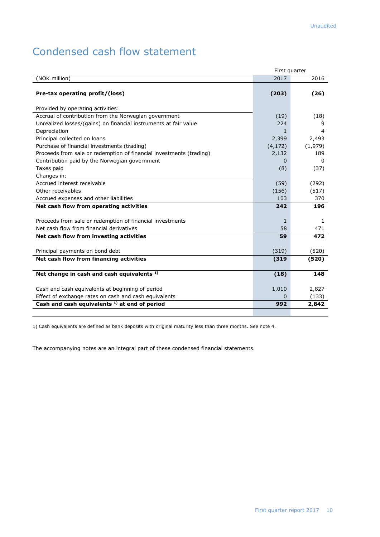## Condensed cash flow statement

|                                                                     | First quarter |              |
|---------------------------------------------------------------------|---------------|--------------|
| (NOK million)                                                       | 2017          | 2016         |
| Pre-tax operating profit/(loss)                                     | (203)         | (26)         |
| Provided by operating activities:                                   |               |              |
| Accrual of contribution from the Norwegian government               | (19)          | (18)         |
| Unrealized losses/(gains) on financial instruments at fair value    | 224           | 9            |
| Depreciation                                                        | 1.            | 4            |
| Principal collected on loans                                        | 2,399         | 2,493        |
| Purchase of financial investments (trading)                         | (4, 172)      | (1,979)      |
| Proceeds from sale or redemption of financial investments (trading) | 2,132         | 189          |
| Contribution paid by the Norwegian government                       | 0             | 0            |
| Taxes paid                                                          | (8)           | (37)         |
| Changes in:                                                         |               |              |
| Accrued interest receivable                                         | (59)          | (292)        |
| Other receivables                                                   | (156)         | (517)        |
| Accrued expenses and other liabilities                              | 103           | 370          |
| Net cash flow from operating activities                             | 242           | 196          |
|                                                                     |               |              |
| Proceeds from sale or redemption of financial investments           | $\mathbf{1}$  | $\mathbf{1}$ |
| Net cash flow from financial derivatives                            | 58            | 471          |
| Net cash flow from investing activities                             | 59            | 472          |
| Principal payments on bond debt                                     | (319)         | (520)        |
| Net cash flow from financing activities                             | (319)         | (520)        |
|                                                                     |               |              |
| Net change in cash and cash equivalents <sup>1)</sup>               | (18)          | 148          |
| Cash and cash equivalents at beginning of period                    | 1,010         | 2,827        |
| Effect of exchange rates on cash and cash equivalents               | 0             | (133)        |
| Cash and cash equivalents $1$ ) at end of period                    | 992           | 2,842        |
|                                                                     |               |              |

1) Cash equivalents are defined as bank deposits with original maturity less than three months. See note 4.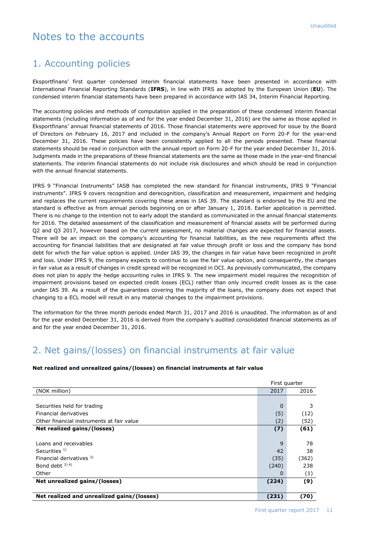## Notes to the accounts

#### 1. Accounting policies

Eksportfinans' first quarter condensed interim financial statements have been presented in accordance with International Financial Reporting Standards (**IFRS**), in line with IFRS as adopted by the European Union (**EU**). The condensed interim financial statements have been prepared in accordance with IAS 34, Interim Financial Reporting.

The accounting policies and methods of computation applied in the preparation of these condensed interim financial statements (including information as of and for the year ended December 31, 2016) are the same as those applied in Eksportfinans' annual financial statements of 2016. Those financial statements were approved for issue by the Board of Directors on February 16, 2017 and included in the company's Annual Report on Form 20-F for the year-end December 31, 2016. These policies have been consistently applied to all the periods presented. These financial statements should be read in conjunction with the annual report on Form 20-F for the year ended December 31, 2016. Judgments made in the preparations of these financial statements are the same as those made in the year-end financial statements. The interim financial statements do not include risk disclosures and which should be read in conjunction with the annual financial statements.

IFRS 9 "Financial Instruments" IASB has completed the new standard for financial instruments, IFRS 9 "Financial instruments". IFRS 9 covers recognition and derecognition, classification and measurement, impairment and hedging and replaces the current requirements covering these areas in IAS 39. The standard is endorsed by the EU and the standard is effective as from annual periods beginning on or after January 1, 2018. Earlier application is permitted. There is no change to the intention not to early adopt the standard as communicated in the annual financial statements for 2016. The detailed assessment of the classification and measurement of financial assets will be performed during Q2 and Q3 2017, however based on the current assessment, no material changes are expected for financial assets. There will be an impact on the company's accounting for financial liabilities, as the new requirements affect the accounting for financial liabilities that are designated at fair value through profit or loss and the company has bond debt for which the fair value option is applied. Under IAS 39, the changes in fair value have been recognized in profit and loss. Under IFRS 9, the company expects to continue to use the fair value option, and consequently, the changes in fair value as a result of changes in credit spread will be recognized in OCI. As previously communicated, the company does not plan to apply the hedge accounting rules in IFRS 9. The new impairment model requires the recognition of impairment provisions based on expected credit losses (ECL) rather than only incurred credit losses as is the case under IAS 39. As a result of the guarantees covering the majority of the loans, the company does not expect that changing to a ECL model will result in any material changes to the impairment provisions.

The information for the three month periods ended March 31, 2017 and 2016 is unaudited. The information as of and for the year ended December 31, 2016 is derived from the company's audited consolidated financial statements as of and for the year ended December 31, 2016.

#### 2. Net gains/(losses) on financial instruments at fair value

|                                            | First quarter |       |
|--------------------------------------------|---------------|-------|
| (NOK million)                              | 2017          | 2016  |
|                                            |               |       |
| Securities held for trading                | $\Omega$      | 3     |
| Financial derivatives                      | (5)           | (12)  |
| Other financial instruments at fair value  | (2)           | (52)  |
| Net realized gains/(losses)                | (7)           | (61)  |
|                                            |               |       |
| Loans and receivables                      | 9             | 78    |
| Securities $1$ )                           | 42            | 38    |
| Financial derivatives <sup>2)</sup>        | (35)          | (362) |
| Bond debt $3)$ 4)                          | (240)         | 238   |
| Other                                      | 0             | (1)   |
| Net unrealized gains/(losses)              | (224)         | (9)   |
|                                            |               |       |
| Net realized and unrealized gains/(losses) | (231)         | (70)  |

#### **Net realized and unrealized gains/(losses) on financial instruments at fair value**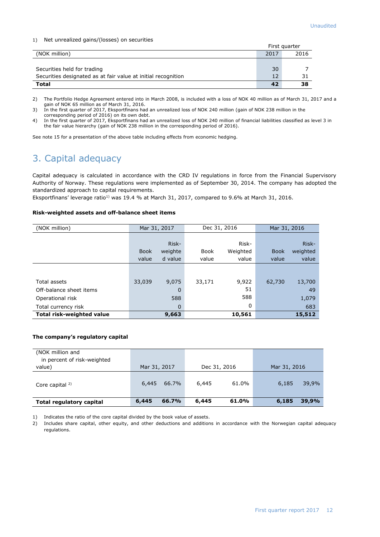#### 1) Net unrealized gains/(losses) on securities

|                                                               |      | First guarter |
|---------------------------------------------------------------|------|---------------|
| (NOK million)                                                 | 2017 | 2016          |
|                                                               |      |               |
| Securities held for trading                                   | 30   |               |
| Securities designated as at fair value at initial recognition | 12   |               |
| Total                                                         | 42   | 38            |

2) The Portfolio Hedge Agreement entered into in March 2008, is included with a loss of NOK 40 million as of March 31, 2017 and a gain of NOK 65 million as of March 31, 2016.

3) In the first quarter of 2017, Eksportfinans had an unrealized loss of NOK 240 million (gain of NOK 238 million in the corresponding period of 2016) on its own debt.

4) In the first quarter of 2017, Eksportfinans had an unrealized loss of NOK 240 million of financial liabilities classified as level 3 in the fair value hierarchy (gain of NOK 238 million in the corresponding period of 2016).

See note 15 for a presentation of the above table including effects from economic hedging.

## 3. Capital adequacy

Capital adequacy is calculated in accordance with the CRD IV regulations in force from the Financial Supervisory Authority of Norway. These regulations were implemented as of September 30, 2014. The company has adopted the standardized approach to capital requirements.

Eksportfinans' leverage ratio<sup>1)</sup> was 19.4 % at March 31, 2017, compared to 9.6% at March 31, 2016.

#### **Risk-weighted assets and off-balance sheet items**

| (NOK million)             | Mar 31, 2017 |             | Dec 31, 2016 |          | Mar 31, 2016 |          |
|---------------------------|--------------|-------------|--------------|----------|--------------|----------|
|                           |              |             |              |          |              |          |
|                           |              | Risk-       |              | Risk-    |              | Risk-    |
|                           | <b>Book</b>  | weighte     | Book         | Weighted | <b>Book</b>  | weighted |
|                           | value        | d value     | value        | value    | value        | value    |
|                           |              |             |              |          |              |          |
|                           |              |             |              |          |              |          |
| Total assets              | 33,039       | 9,075       | 33,171       | 9,922    | 62,730       | 13,700   |
| Off-balance sheet items   |              | 0           |              | 51       |              | 49       |
| Operational risk          |              | 588         |              | 588      |              | 1,079    |
| Total currency risk       |              | $\mathbf 0$ |              | 0        |              | 683      |
| Total risk-weighted value |              | 9,663       |              | 10,561   |              | 15,512   |

#### **The company's regulatory capital**

| (NOK million and<br>in percent of risk-weighted<br>value) | Mar 31, 2017 |       |       | Dec 31, 2016 | Mar 31, 2016 |       |
|-----------------------------------------------------------|--------------|-------|-------|--------------|--------------|-------|
| Core capital $2$ )                                        | 6,445        | 66.7% | 6,445 | 61.0%        | 6,185        | 39,9% |
| Total regulatory capital                                  | 6,445        | 66.7% | 6,445 | 61.0%        | 6,185        | 39,9% |

1) Indicates the ratio of the core capital divided by the book value of assets.

2) Includes share capital, other equity, and other deductions and additions in accordance with the Norwegian capital adequacy regulations.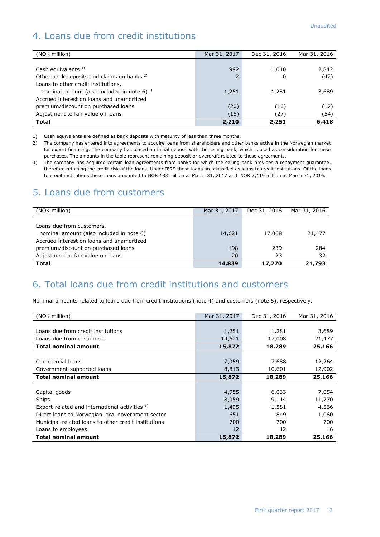## 4. Loans due from credit institutions

| (NOK million)                                         | Mar 31, 2017 | Dec 31, 2016 | Mar 31, 2016 |
|-------------------------------------------------------|--------------|--------------|--------------|
|                                                       |              |              |              |
| Cash equivalents $1$ )                                | 992          | 1,010        | 2,842        |
| Other bank deposits and claims on banks <sup>2)</sup> | 2            | 0            | (42)         |
| Loans to other credit institutions,                   |              |              |              |
| nominal amount (also included in note 6) $^{3}$       | 1,251        | 1,281        | 3,689        |
| Accrued interest on loans and unamortized             |              |              |              |
| premium/discount on purchased loans                   | (20)         | (13)         | (17)         |
| Adjustment to fair value on loans                     | (15)         | (27)         | (54)         |
| <b>Total</b>                                          | 2,210        | 2,251        | 6,418        |

1) Cash equivalents are defined as bank deposits with maturity of less than three months.

2) The company has entered into agreements to acquire loans from shareholders and other banks active in the Norwegian market for export financing. The company has placed an initial deposit with the selling bank, which is used as consideration for these purchases. The amounts in the table represent remaining deposit or overdraft related to these agreements.

3) The company has acquired certain loan agreements from banks for which the selling bank provides a repayment guarantee, therefore retaining the credit risk of the loans. Under IFRS these loans are classified as loans to credit institutions. Of the loans to credit institutions these loans amounted to NOK 183 million at March 31, 2017 and NOK 2,119 million at March 31, 2016.

#### 5. Loans due from customers

| (NOK million)                             | Mar 31, 2017 | Dec 31, 2016 | Mar 31, 2016 |
|-------------------------------------------|--------------|--------------|--------------|
|                                           |              |              |              |
| Loans due from customers,                 |              |              |              |
| nominal amount (also included in note 6)  | 14,621       | 17,008       | 21,477       |
| Accrued interest on loans and unamortized |              |              |              |
| premium/discount on purchased loans       | 198          | 239          | 284          |
| Adjustment to fair value on loans         | 20           | 23           | 32           |
| <b>Total</b>                              | 14,839       | 17,270       | 21,793       |

#### 6. Total loans due from credit institutions and customers

Nominal amounts related to loans due from credit institutions (note 4) and customers (note 5), respectively.

| (NOK million)                                        | Mar 31, 2017 | Dec 31, 2016 | Mar 31, 2016 |
|------------------------------------------------------|--------------|--------------|--------------|
|                                                      |              |              |              |
| Loans due from credit institutions                   | 1,251        | 1,281        | 3,689        |
| Loans due from customers                             | 14,621       | 17,008       | 21,477       |
| <b>Total nominal amount</b>                          | 15,872       | 18,289       | 25,166       |
|                                                      |              |              |              |
| Commercial loans                                     | 7,059        | 7,688        | 12,264       |
| Government-supported loans                           | 8,813        | 10,601       | 12,902       |
| <b>Total nominal amount</b>                          | 15,872       | 18,289       | 25,166       |
|                                                      |              |              |              |
| Capital goods                                        | 4,955        | 6,033        | 7,054        |
| Ships                                                | 8,059        | 9,114        | 11,770       |
| Export-related and international activities 1)       | 1,495        | 1,581        | 4,566        |
| Direct loans to Norwegian local government sector    | 651          | 849          | 1,060        |
| Municipal-related loans to other credit institutions | 700          | 700          | 700          |
| Loans to employees                                   | 12           | 12           | 16           |
| <b>Total nominal amount</b>                          | 15,872       | 18,289       | 25,166       |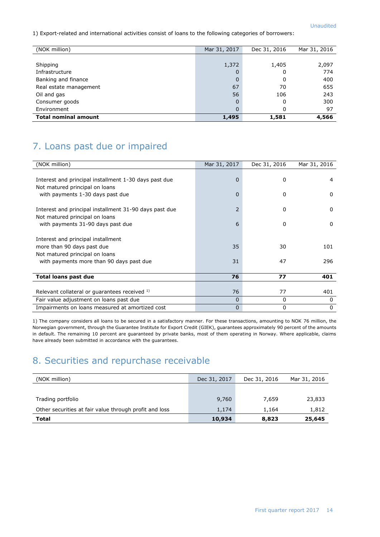1) Export-related and international activities consist of loans to the following categories of borrowers:

| (NOK million)               | Mar 31, 2017 | Dec 31, 2016 | Mar 31, 2016 |
|-----------------------------|--------------|--------------|--------------|
|                             |              |              |              |
| Shipping                    | 1,372        | 1,405        | 2,097        |
| Infrastructure              | 0            | 0            | 774          |
| Banking and finance         | $\mathbf 0$  | 0            | 400          |
| Real estate management      | 67           | 70           | 655          |
| Oil and gas                 | 56           | 106          | 243          |
| Consumer goods              | 0            | 0            | 300          |
| Environment                 | 0            | 0            | 97           |
| <b>Total nominal amount</b> | 1,495        | 1,581        | 4,566        |

## 7. Loans past due or impaired

| (NOK million)                                          | Mar 31, 2017   | Dec 31, 2016 | Mar 31, 2016 |
|--------------------------------------------------------|----------------|--------------|--------------|
|                                                        |                |              |              |
| Interest and principal installment 1-30 days past due  | $\overline{0}$ | $\Omega$     | 4            |
| Not matured principal on loans                         |                |              |              |
| with payments 1-30 days past due                       | 0              | 0            | $\Omega$     |
| Interest and principal installment 31-90 days past due | 2              | $\Omega$     | $\Omega$     |
| Not matured principal on loans                         |                |              |              |
| with payments 31-90 days past due                      | 6              | 0            | 0            |
|                                                        |                |              |              |
| Interest and principal installment                     |                |              |              |
| more than 90 days past due                             | 35             | 30           | 101          |
| Not matured principal on loans                         |                |              |              |
| with payments more than 90 days past due               | 31             | 47           | 296          |
|                                                        |                |              |              |
| <b>Total loans past due</b>                            | 76             | 77           | 401          |
|                                                        |                |              |              |
| Relevant collateral or guarantees received 1)          | 76             | 77           | 401          |
| Fair value adjustment on loans past due                | 0              | $\Omega$     | $\Omega$     |
| Impairments on loans measured at amortized cost        | 0              | 0            | $\mathbf{0}$ |

1) The company considers all loans to be secured in a satisfactory manner. For these transactions, amounting to NOK 76 million, the Norwegian government, through the Guarantee Institute for Export Credit (GIEK), guarantees approximately 90 percent of the amounts in default. The remaining 10 percent are guaranteed by private banks, most of them operating in Norway. Where applicable, claims have already been submitted in accordance with the guarantees.

## 8. Securities and repurchase receivable

| (NOK million)                                          | Dec 31, 2017 | Dec 31, 2016 | Mar 31, 2016 |
|--------------------------------------------------------|--------------|--------------|--------------|
|                                                        |              |              |              |
| Trading portfolio                                      | 9,760        | 7.659        | 23,833       |
| Other securities at fair value through profit and loss | 1,174        | 1.164        | 1,812        |
| <b>Total</b>                                           | 10,934       | 8,823        | 25,645       |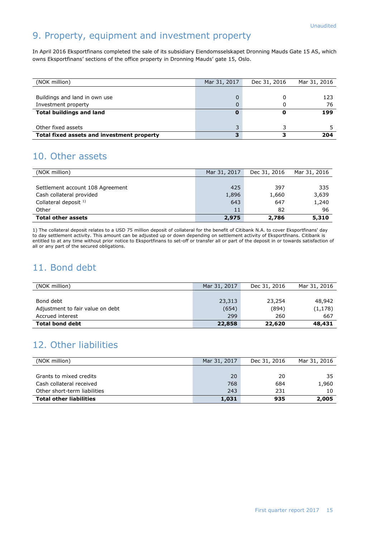## 9. Property, equipment and investment property

In April 2016 Eksportfinans completed the sale of its subsidiary Eiendomsselskapet Dronning Mauds Gate 15 AS, which owns Eksportfinans' sections of the office property in Dronning Mauds' gate 15, Oslo.

| (NOK million)                              | Mar 31, 2017 | Dec 31, 2016 | Mar 31, 2016 |
|--------------------------------------------|--------------|--------------|--------------|
|                                            |              |              |              |
| Buildings and land in own use              | 0            |              | 123          |
| Investment property                        | 0            |              | 76           |
| <b>Total buildings and land</b>            |              |              | 199          |
|                                            |              |              |              |
| Other fixed assets                         |              |              |              |
| Total fixed assets and investment property | 3            |              | 204          |

#### 10. Other assets

| (NOK million)                    | Mar 31, 2017 | Dec 31, 2016 | Mar 31, 2016 |
|----------------------------------|--------------|--------------|--------------|
|                                  |              |              |              |
| Settlement account 108 Agreement | 425          | 397          | 335          |
| Cash collateral provided         | 1,896        | 1,660        | 3,639        |
| Collateral deposit $1$ )         | 643          | 647          | 1,240        |
| Other                            | 11           | 82           | 96           |
| <b>Total other assets</b>        | 2,975        | 2,786        | 5,310        |

1) The collateral deposit relates to a USD 75 million deposit of collateral for the benefit of Citibank N.A. to cover Eksportfinans' day to day settlement activity. This amount can be adjusted up or down depending on settlement activity of Eksportfinans. Citibank is entitled to at any time without prior notice to Eksportfinans to set-off or transfer all or part of the deposit in or towards satisfaction of all or any part of the secured obligations.

#### 11. Bond debt

| (NOK million)                    | Mar 31, 2017 | Dec 31, 2016 | Mar 31, 2016 |
|----------------------------------|--------------|--------------|--------------|
|                                  |              |              |              |
| Bond debt                        | 23,313       | 23,254       | 48,942       |
| Adjustment to fair value on debt | (654)        | (894)        | (1, 178)     |
| Accrued interest                 | 299          | 260          | 667          |
| <b>Total bond debt</b>           | 22,858       | 22,620       | 48,431       |

## 12. Other liabilities

| (NOK million)                  | Mar 31, 2017 | Dec 31, 2016 | Mar 31, 2016 |
|--------------------------------|--------------|--------------|--------------|
|                                |              |              |              |
| Grants to mixed credits        | 20           | 20           | 35           |
| Cash collateral received       | 768          | 684          | 1,960        |
| Other short-term liabilities   | 243          | 231          | 10           |
| <b>Total other liabilities</b> | 1,031        | 935          | 2,005        |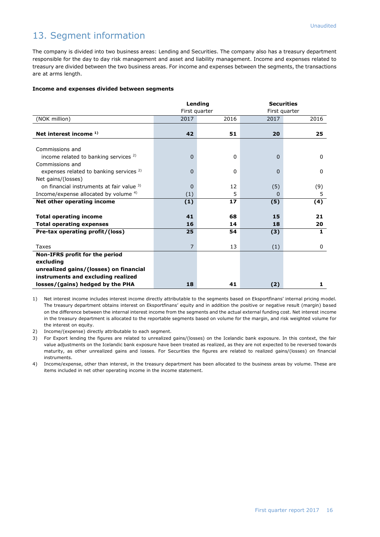## 13. Segment information

The company is divided into two business areas: Lending and Securities. The company also has a treasury department responsible for the day to day risk management and asset and liability management. Income and expenses related to treasury are divided between the two business areas. For income and expenses between the segments, the transactions are at arms length.

#### **Income and expenses divided between segments**

|                                                    | Lending        |      | <b>Securities</b> |              |
|----------------------------------------------------|----------------|------|-------------------|--------------|
|                                                    | First quarter  |      | First quarter     |              |
| (NOK million)                                      | 2017           | 2016 | 2017              | 2016         |
|                                                    |                |      |                   |              |
| Net interest income <sup>1)</sup>                  | 42             | 51   | 20                | 25           |
|                                                    |                |      |                   |              |
| Commissions and                                    |                |      |                   |              |
| income related to banking services <sup>2)</sup>   | $\Omega$       | 0    | 0                 | $\Omega$     |
| Commissions and                                    |                |      |                   |              |
| expenses related to banking services <sup>2)</sup> | 0              | 0    | 0                 | 0            |
| Net gains/(losses)                                 |                |      |                   |              |
| on financial instruments at fair value 3)          | 0              | 12   | (5)               | (9)          |
| Income/expense allocated by volume <sup>4)</sup>   | (1)            | 5    | 0                 | 5            |
| Net other operating income                         | (1)            | 17   | (5)               | (4)          |
|                                                    |                |      |                   |              |
| <b>Total operating income</b>                      | 41             | 68   | 15                | 21           |
| <b>Total operating expenses</b>                    | 16             | 14   | 18                | 20           |
| Pre-tax operating profit/(loss)                    | 25             | 54   | (3)               | $\mathbf{1}$ |
|                                                    |                |      |                   |              |
| Taxes                                              | $\overline{7}$ | 13   | (1)               | 0            |
| Non-IFRS profit for the period                     |                |      |                   |              |
| excluding                                          |                |      |                   |              |
| unrealized gains/(losses) on financial             |                |      |                   |              |
| instruments and excluding realized                 |                |      |                   |              |
| losses/(gains) hedged by the PHA                   | 18             | 41   | (2)               | 1            |

1) Net interest income includes interest income directly attributable to the segments based on Eksportfinans' internal pricing model. The treasury department obtains interest on Eksportfinans' equity and in addition the positive or negative result (margin) based on the difference between the internal interest income from the segments and the actual external funding cost. Net interest income in the treasury department is allocated to the reportable segments based on volume for the margin, and risk weighted volume for the interest on equity.

2) Income/(expense) directly attributable to each segment.

3) For Export lending the figures are related to unrealized gains/(losses) on the Icelandic bank exposure. In this context, the fair value adjustments on the Icelandic bank exposure have been treated as realized, as they are not expected to be reversed towards maturity, as other unrealized gains and losses. For Securities the figures are related to realized gains/(losses) on financial instruments.

4) Income/expense, other than interest, in the treasury department has been allocated to the business areas by volume. These are items included in net other operating income in the income statement.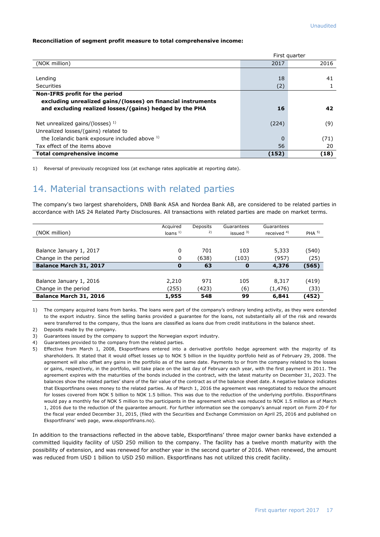#### **Reconciliation of segment profit measure to total comprehensive income:**

|                                                              |       | First quarter |
|--------------------------------------------------------------|-------|---------------|
| (NOK million)                                                | 2017  | 2016          |
|                                                              |       |               |
| Lending                                                      | 18    | 41            |
| Securities                                                   | (2)   |               |
| Non-IFRS profit for the period                               |       |               |
| excluding unrealized gains/(losses) on financial instruments |       |               |
| and excluding realized losses/(gains) hedged by the PHA      | 16    | 42            |
| Net unrealized gains/(losses) $^{1}$ )                       | (224) | (9)           |
| Unrealized losses/(gains) related to                         |       |               |
| the Icelandic bank exposure included above 1)                |       | (71)          |
| Tax effect of the items above                                | 56    | 20            |
| <b>Total comprehensive income</b>                            | (152) | (18)          |

1) Reversal of previously recognized loss (at exchange rates applicable at reporting date).

#### 14. Material transactions with related parties

The company's two largest shareholders, DNB Bank ASA and Nordea Bank AB, are considered to be related parties in accordance with IAS 24 Related Party Disclosures. All transactions with related parties are made on market terms.

| (NOK million)           | Acquired<br>loans $1$ | Deposits<br>2) | Guarantees<br>issued $3)$ | Guarantees<br>received $4$ ) | PHA <sup>5</sup> |
|-------------------------|-----------------------|----------------|---------------------------|------------------------------|------------------|
|                         |                       |                |                           |                              |                  |
| Balance January 1, 2017 | 0                     | 701            | 103                       | 5,333                        | (540)            |
| Change in the period    | 0                     | (638)          | (103)                     | (957)                        | (25)             |
| Balance March 31, 2017  | 0                     | 63             | $\mathbf 0$               | 4,376                        | (565)            |
|                         |                       |                |                           |                              |                  |
| Balance January 1, 2016 | 2,210                 | 971            | 105                       | 8,317                        | (419)            |
| Change in the period    | (255)                 | (423)          | (6)                       | (1, 476)                     | (33)             |
| Balance March 31, 2016  | 1,955                 | 548            | 99                        | 6,841                        | (452)            |

1) The company acquired loans from banks. The loans were part of the company's ordinary lending activity, as they were extended to the export industry. Since the selling banks provided a guarantee for the loans, not substantially all of the risk and rewards were transferred to the company, thus the loans are classified as loans due from credit institutions in the balance sheet.

- 2) Deposits made by the company.
- 3) Guarantees issued by the company to support the Norwegian export industry.
- 4) Guarantees provided to the company from the related parties.
- 5) Effective from March 1, 2008, Eksportfinans entered into a derivative portfolio hedge agreement with the majority of its shareholders. It stated that it would offset losses up to NOK 5 billion in the liquidity portfolio held as of February 29, 2008. The agreement will also offset any gains in the portfolio as of the same date. Payments to or from the company related to the losses or gains, respectively, in the portfolio, will take place on the last day of February each year, with the first payment in 2011. The agreement expires with the maturities of the bonds included in the contract, with the latest maturity on December 31, 2023. The balances show the related parties' share of the fair value of the contract as of the balance sheet date. A negative balance indicates that Eksportfinans owes money to the related parties. As of March 1, 2016 the agreement was renegotiated to reduce the amount for losses covered from NOK 5 billion to NOK 1.5 billion. This was due to the reduction of the underlying portfolio. Eksportfinans would pay a monthly fee of NOK 5 million to the participants in the agreement which was reduced to NOK 1.5 million as of March 1, 2016 due to the reduction of the guarantee amount. For further information see the company's annual report on Form 20-F for the fiscal year ended December 31, 2015, (filed with the Securities and Exchange Commission on April 25, 2016 and published on Eksportfinans' web page, [www.eksportfinans.no\)](http://www.eksportfinans.no/).

In addition to the transactions reflected in the above table, Eksportfinans' three major owner banks have extended a committed liquidity facility of USD 250 million to the company. The facility has a twelve month maturity with the possibility of extension, and was renewed for another year in the second quarter of 2016. When renewed, the amount was reduced from USD 1 billion to USD 250 million. Eksportfinans has not utilized this credit facility.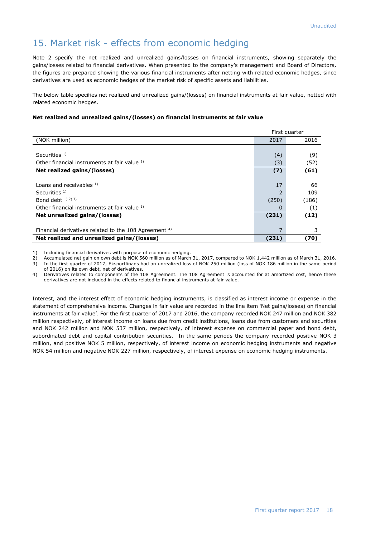#### 15. Market risk - effects from economic hedging

Note 2 specify the net realized and unrealized gains/losses on financial instruments, showing separately the gains/losses related to financial derivatives. When presented to the company's management and Board of Directors, the figures are prepared showing the various financial instruments after netting with related economic hedges, since derivatives are used as economic hedges of the market risk of specific assets and liabilities.

The below table specifies net realized and unrealized gains/(losses) on financial instruments at fair value, netted with related economic hedges.

#### **Net realized and unrealized gains/(losses) on financial instruments at fair value**

| First quarter                                            |                |       |  |  |  |
|----------------------------------------------------------|----------------|-------|--|--|--|
| (NOK million)                                            | 2017           | 2016  |  |  |  |
|                                                          |                |       |  |  |  |
| Securities <sup>1)</sup>                                 | (4)            | (9)   |  |  |  |
| Other financial instruments at fair value 1)             | (3)            | (52)  |  |  |  |
| Net realized gains/(losses)                              | (7)            | (61)  |  |  |  |
|                                                          |                |       |  |  |  |
| Loans and receivables $1$ )                              | 17             | 66    |  |  |  |
| Securities $1$ )                                         | $\overline{2}$ | 109   |  |  |  |
| Bond debt $(1)$ $(2)$ $(3)$                              | (250)          | (186) |  |  |  |
| Other financial instruments at fair value 1)             | 0              | (1)   |  |  |  |
| Net unrealized gains/(losses)                            | (231)          | (12)  |  |  |  |
|                                                          |                |       |  |  |  |
| Financial derivatives related to the 108 Agreement $4$ ) | 7              | 3     |  |  |  |
| Net realized and unrealized gains/(losses)               | (231)          | (70)  |  |  |  |

1) Including financial derivatives with purpose of economic hedging.<br>2) Accumulated net gain on own debt is NOK 560 million as of March

2) Accumulated net gain on own debt is NOK 560 million as of March 31, 2017, compared to NOK 1,442 million as of March 31, 2016. 3) In the first quarter of 2017, Eksportfinans had an unrealized loss of NOK 250 million (loss of NOK 186 million in the same period of 2016) on its own debt, net of derivatives.

4) Derivatives related to components of the 108 Agreement. The 108 Agreement is accounted for at amortized cost, hence these derivatives are not included in the effects related to financial instruments at fair value.

Interest, and the interest effect of economic hedging instruments, is classified as interest income or expense in the statement of comprehensive income. Changes in fair value are recorded in the line item 'Net gains/losses) on financial instruments at fair value'. For the first quarter of 2017 and 2016, the company recorded NOK 247 million and NOK 382 million respectively, of interest income on loans due from credit institutions, loans due from customers and securities and NOK 242 million and NOK 537 million, respectively, of interest expense on commercial paper and bond debt, subordinated debt and capital contribution securities. In the same periods the company recorded positive NOK 3 million, and positive NOK 5 million, respectively, of interest income on economic hedging instruments and negative NOK 54 million and negative NOK 227 million, respectively, of interest expense on economic hedging instruments.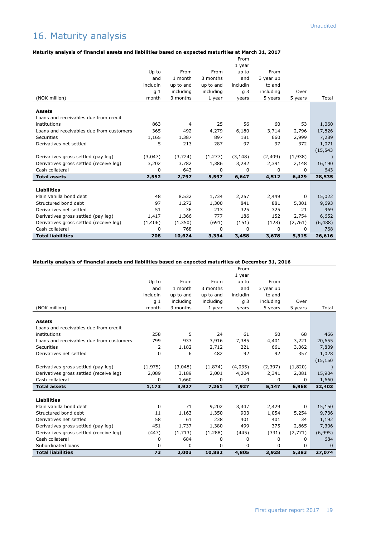## 16. Maturity analysis

#### **Maturity analysis of financial assets and liabilities based on expected maturities at March 31, 2017**

|                                          |          |           |           | From           |           |         |           |
|------------------------------------------|----------|-----------|-----------|----------------|-----------|---------|-----------|
|                                          |          |           |           | 1 year         |           |         |           |
|                                          | Up to    | From      | From      | up to          | From      |         |           |
|                                          | and      | 1 month   | 3 months  | and            | 3 year up |         |           |
|                                          | includin | up to and | up to and | includin       | to and    |         |           |
|                                          | g 1      | including | including | q <sub>3</sub> | including | Over    |           |
| (NOK million)                            | month    | 3 months  | 1 year    | years          | 5 years   | 5 years | Total     |
| <b>Assets</b>                            |          |           |           |                |           |         |           |
| Loans and receivables due from credit    |          |           |           |                |           |         |           |
| institutions                             | 863      | 4         | 25        | 56             | 60        | 53      | 1,060     |
| Loans and receivables due from customers | 365      | 492       | 4,279     | 6,180          | 3,714     | 2,796   | 17,826    |
| <b>Securities</b>                        | 1,165    | 1,387     | 897       | 181            | 660       | 2,999   | 7,289     |
| Derivatives net settled                  | 5        | 213       | 287       | 97             | 97        | 372     | 1,071     |
|                                          |          |           |           |                |           |         | (15, 543) |
| Derivatives gross settled (pay leg)      | (3,047)  | (3, 724)  | (1,277)   | (3, 148)       | (2,409)   | (1,938) |           |
| Derivatives gross settled (receive leg)  | 3,202    | 3,782     | 1,386     | 3,282          | 2,391     | 2,148   | 16,190    |
| Cash collateral                          | 0        | 643       | 0         | 0              | 0         | 0       | 643       |
| <b>Total assets</b>                      | 2,552    | 2,797     | 5,597     | 6,647          | 4,512     | 6,429   | 28,535    |
|                                          |          |           |           |                |           |         |           |
| <b>Liabilities</b>                       |          |           |           |                |           |         |           |
| Plain vanilla bond debt                  | 48       | 8,532     | 1,734     | 2,257          | 2,449     | 0       | 15,022    |
| Structured bond debt                     | 97       | 1,272     | 1,300     | 841            | 881       | 5,301   | 9,693     |
| Derivatives net settled                  | 51       | 36        | 213       | 325            | 325       | 21      | 969       |
| Derivatives gross settled (pay leg)      | 1,417    | 1,366     | 777       | 186            | 152       | 2,754   | 6,652     |
| Derivatives gross settled (receive leg)  | (1,406)  | (1,350)   | (691)     | (151)          | (128)     | (2,761) | (6, 488)  |
| Cash collateral                          | 0        | 768       | 0         | 0              | 0         | 0       | 768       |
| <b>Total liabilities</b>                 | 208      | 10,624    | 3,334     | 3,458          | 3,678     | 5,315   | 26,616    |

#### **Maturity analysis of financial assets and liabilities based on expected maturities at December 31, 2016**

|                                          |          |           |           | From     |           |         |           |
|------------------------------------------|----------|-----------|-----------|----------|-----------|---------|-----------|
|                                          |          |           |           | 1 year   |           |         |           |
|                                          | Up to    | From      | From      | up to    | From      |         |           |
|                                          | and      | 1 month   | 3 months  | and      | 3 year up |         |           |
|                                          | includin | up to and | up to and | includin | to and    |         |           |
|                                          | g 1      | including | including | g 3      | including | Over    |           |
| (NOK million)                            | month    | 3 months  | 1 year    | years    | 5 years   | 5 years | Total     |
| <b>Assets</b>                            |          |           |           |          |           |         |           |
| Loans and receivables due from credit    |          |           |           |          |           |         |           |
| institutions                             | 258      | 5         | 24        | 61       | 50        | 68      | 466       |
| Loans and receivables due from customers | 799      | 933       | 3,916     | 7,385    | 4,401     | 3,221   | 20,655    |
| <b>Securities</b>                        | 2        | 1,182     | 2,712     | 221      | 661       | 3,062   | 7,839     |
| Derivatives net settled                  | 0        | 6         | 482       | 92       | 92        | 357     | 1,028     |
|                                          |          |           |           |          |           |         | (15, 150) |
| Derivatives gross settled (pay leg)      | (1, 975) | (3,048)   | (1,874)   | (4,035)  | (2, 397)  | (1,820) |           |
| Derivatives gross settled (receive leg)  | 2,089    | 3,189     | 2,001     | 4,204    | 2,341     | 2,081   | 15,904    |
| Cash collateral                          | $\Omega$ | 1,660     | $\Omega$  | 0        | 0         | 0       | 1,660     |
| <b>Total assets</b>                      | 1,173    | 3,927     | 7,261     | 7,927    | 5,147     | 6,968   | 32,403    |
| <b>Liabilities</b>                       |          |           |           |          |           |         |           |
| Plain vanilla bond debt                  | 0        | 71        | 9,202     | 3,447    | 2,429     | 0       | 15,150    |
| Structured bond debt                     | 11       | 1,163     | 1,350     | 903      | 1,054     | 5,254   | 9,736     |
| Derivatives net settled                  | 58       | 61        | 238       | 401      | 401       | 34      | 1,192     |
| Derivatives gross settled (pay leg)      | 451      | 1,737     | 1,380     | 499      | 375       | 2,865   | 7,306     |
| Derivatives gross settled (receive leg)  | (447)    | (1,713)   | (1,288)   | (445)    | (331)     | (2,771) | (6,995)   |
| Cash collateral                          | 0        | 684       | 0         | 0        | 0         | 0       | 684       |
| Subordinated loans                       | 0        | 0         | $\Omega$  | $\Omega$ | $\Omega$  | 0       | $\Omega$  |
| <b>Total liabilities</b>                 | 73       | 2,003     | 10,882    | 4,805    | 3,928     | 5,383   | 27,074    |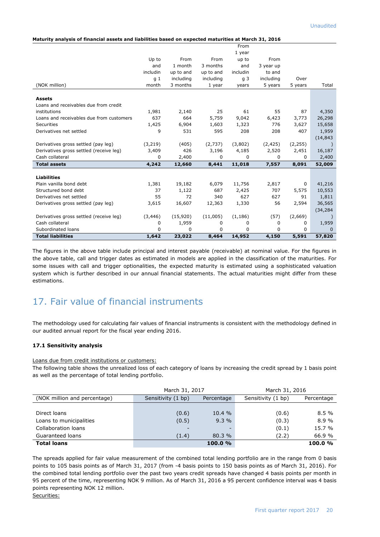#### **Maturity analysis of financial assets and liabilities based on expected maturities at March 31, 2016**

|                                          |                |           |           | From           |           |          |              |
|------------------------------------------|----------------|-----------|-----------|----------------|-----------|----------|--------------|
|                                          |                |           |           | 1 year         |           |          |              |
|                                          | Up to          | From      | From      | up to          | From      |          |              |
|                                          | and            | 1 month   | 3 months  | and            | 3 year up |          |              |
|                                          | includin       | up to and | up to and | includin       | to and    |          |              |
|                                          | q <sub>1</sub> | including | including | q <sub>3</sub> | including | Over     |              |
| (NOK million)                            | month          | 3 months  | 1 year    | years          | 5 years   | 5 years  | Total        |
| <b>Assets</b>                            |                |           |           |                |           |          |              |
| Loans and receivables due from credit    |                |           |           |                |           |          |              |
| institutions                             | 1,981          | 2,140     | 25        | 61             | 55        | 87       | 4,350        |
| Loans and receivables due from customers | 637            | 664       | 5,759     | 9,042          | 6,423     | 3,773    | 26,298       |
| <b>Securities</b>                        | 1,425          | 6,904     | 1,603     | 1,323          | 776       | 3,627    | 15,658       |
| Derivatives net settled                  | 9              | 531       | 595       | 208            | 208       | 407      | 1,959        |
|                                          |                |           |           |                |           |          | (14, 843)    |
| Derivatives gross settled (pay leg)      | (3,219)        | (405)     | (2,737)   | (3,802)        | (2, 425)  | (2, 255) |              |
| Derivatives gross settled (receive leg)  | 3,409          | 426       | 3,196     | 4,185          | 2,520     | 2,451    | 16,187       |
| Cash collateral                          | 0              | 2,400     | 0         | 0              | 0         | $\Omega$ | 2,400        |
| <b>Total assets</b>                      | 4,242          | 12,660    | 8,441     | 11,018         | 7,557     | 8,091    | 52,009       |
|                                          |                |           |           |                |           |          |              |
| <b>Liabilities</b>                       |                |           |           |                |           |          |              |
| Plain vanilla bond debt                  | 1,381          | 19,182    | 6,079     | 11,756         | 2,817     | 0        | 41,216       |
| Structured bond debt                     | 37             | 1,122     | 687       | 2,425          | 707       | 5,575    | 10,553       |
| Derivatives net settled                  | 55             | 72        | 340       | 627            | 627       | 91       | 1,811        |
| Derivatives gross settled (pay leg)      | 3,615          | 16,607    | 12,363    | 1,330          | 56        | 2,594    | 36,565       |
|                                          |                |           |           |                |           |          | (34, 284)    |
| Derivatives gross settled (receive leg)  | (3, 446)       | (15,920)  | (11,005)  | (1, 186)       | (57)      | (2,669)  |              |
| Cash collateral                          | 0              | 1,959     | 0         | 0              | 0         | 0        | 1,959        |
| Subordinated loans                       | $\Omega$       | $\Omega$  | 0         | 0              | $\Omega$  | 0        | $\mathbf{0}$ |
| <b>Total liabilities</b>                 | 1,642          | 23,022    | 8,464     | 14,952         | 4,150     | 5,591    | 57,820       |

The figures in the above table include principal and interest payable (receivable) at nominal value. For the figures in the above table, call and trigger dates as estimated in models are applied in the classification of the maturities. For some issues with call and trigger optionalities, the expected maturity is estimated using a sophisticated valuation system which is further described in our annual financial statements. The actual maturities might differ from these estimations.

#### 17. Fair value of financial instruments

The methodology used for calculating fair values of financial instruments is consistent with the methodology defined in our audited annual report for the fiscal year ending 2016.

#### **17.1 Sensitivity analysis**

Loans due from credit institutions or customers:

The following table shows the unrealized loss of each category of loans by increasing the credit spread by 1 basis point as well as the percentage of total lending portfolio.

|                              | March 31, 2017           |            | March 31, 2016     |            |  |
|------------------------------|--------------------------|------------|--------------------|------------|--|
| (NOK million and percentage) | Sensitivity (1 bp)       | Percentage | Sensitivity (1 bp) | Percentage |  |
|                              |                          |            |                    |            |  |
| Direct loans                 | (0.6)                    | 10.4 %     | (0.6)              | 8.5%       |  |
| Loans to municipalities      | (0.5)                    | $9.3\%$    | (0.3)              | 8.9%       |  |
| Collaboration loans          | $\overline{\phantom{0}}$ | ۰          | (0.1)              | 15.7 %     |  |
| Guaranteed loans             | (1.4)                    | 80.3 %     | (2.2)              | 66.9 %     |  |
| <b>Total loans</b>           |                          | 100.0%     |                    | 100.0%     |  |

The spreads applied for fair value measurement of the combined total lending portfolio are in the range from 0 basis points to 105 basis points as of March 31, 2017 (from -4 basis points to 150 basis points as of March 31, 2016). For the combined total lending portfolio over the past two years credit spreads have changed 4 basis points per month in 95 percent of the time, representing NOK 9 million. As of March 31, 2016 a 95 percent confidence interval was 4 basis points representing NOK 12 million.

Securities: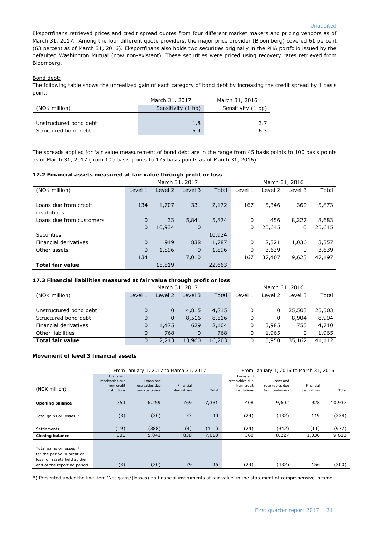Eksportfinans retrieved prices and credit spread quotes from four different market makers and pricing vendors as of March 31, 2017. Among the four different quote providers, the major price provider (Bloomberg) covered 61 percent (63 percent as of March 31, 2016). Eksportfinans also holds two securities originally in the PHA portfolio issued by the defaulted Washington Mutual (now non-existent). These securities were priced using recovery rates retrieved from Bloomberg.

#### Bond debt:

The following table shows the unrealized gain of each category of bond debt by increasing the credit spread by 1 basis point:

|                        | March 31, 2017     | March 31, 2016     |
|------------------------|--------------------|--------------------|
| (NOK million)          | Sensitivity (1 bp) | Sensitivity (1 bp) |
|                        |                    |                    |
| Unstructured bond debt | 1.8                | 3.7                |
| Structured bond debt   | 5.4                | 6.3                |

The spreads applied for fair value measurement of bond debt are in the range from 45 basis points to 100 basis points as of March 31, 2017 (from 100 basis points to 175 basis points as of March 31, 2016).

#### **17.2 Financial assets measured at fair value through profit or loss**

|                          |             | March 31, 2017 |             |        | March 31, 2016 |         |          |        |
|--------------------------|-------------|----------------|-------------|--------|----------------|---------|----------|--------|
| (NOK million)            | Level 1     | Level 2        | Level 3     | Total  | Level 1        | Level 2 | Level 3  | Total  |
|                          |             |                |             |        |                |         |          |        |
| Loans due from credit    | 134         | 1,707          | 331         | 2,172  | 167            | 5,346   | 360      | 5,873  |
| institutions             |             |                |             |        |                |         |          |        |
| Loans due from customers | $\mathbf 0$ | 33             | 5,841       | 5,874  | 0              | 456     | 8,227    | 8,683  |
|                          | $\mathbf 0$ | 10,934         | $\mathbf 0$ |        | 0              | 25,645  | 0        | 25,645 |
| Securities               |             |                |             | 10,934 |                |         |          |        |
| Financial derivatives    | $\Omega$    | 949            | 838         | 1,787  | 0              | 2,321   | 1,036    | 3,357  |
| Other assets             | $\mathbf 0$ | 1,896          | $\mathbf 0$ | 1,896  | 0              | 3,639   | $\Omega$ | 3,639  |
|                          | 134         |                | 7,010       |        | 167            | 37,407  | 9,623    | 47,197 |
| <b>Total fair value</b>  |             | 15,519         |             | 22,663 |                |         |          |        |

#### **17.3 Financial liabilities measured at fair value through profit or loss**

|                         | March 31, 2017 |         |          |        | March 31, 2016 |         |         |        |
|-------------------------|----------------|---------|----------|--------|----------------|---------|---------|--------|
| (NOK million)           | Level 1        | Level 2 | Level 3  | Total  | Level 1        | Level 2 | Level 3 | Total  |
|                         |                |         |          |        |                |         |         |        |
| Unstructured bond debt  | 0              | 0       | 4,815    | 4,815  | 0              | 0       | 25,503  | 25,503 |
| Structured bond debt    | 0              | 0       | 8,516    | 8,516  | 0              | 0       | 8,904   | 8,904  |
| Financial derivatives   | 0              | 1,475   | 629      | 2,104  | 0              | 3,985   | 755     | 4,740  |
| Other liabilities       | 0              | 768     | $\Omega$ | 768    | 0              | 1,965   | 0       | 1,965  |
| <b>Total fair value</b> | 0              | 2,243   | 13,960   | 16,203 | 0              | 5,950   | 35,162  | 41,112 |

#### **Movement of level 3 financial assets**

|                                                                                                                                  |                                                             | From January 1, 2017 to March 31, 2017         |                          | From January 1, 2016 to March 31, 2016 |                                                             |                                                |                          |        |
|----------------------------------------------------------------------------------------------------------------------------------|-------------------------------------------------------------|------------------------------------------------|--------------------------|----------------------------------------|-------------------------------------------------------------|------------------------------------------------|--------------------------|--------|
| (NOK million)                                                                                                                    | Loans and<br>receivables due<br>from credit<br>institutions | Loans and<br>receivables due<br>from customers | Financial<br>derivatives | Total                                  | Loans and<br>receivables due<br>from credit<br>institutions | Loans and<br>receivables due<br>from customers | Financial<br>derivatives | Total  |
| <b>Opening balance</b>                                                                                                           | 353                                                         | 6,259                                          | 769                      | 7,381                                  | 408                                                         | 9,602                                          | 928                      | 10,937 |
| Total gains or losses <sup>!)</sup>                                                                                              | (3)                                                         | (30)                                           | 73                       | 40                                     | (24)                                                        | (432)                                          | 119                      | (338)  |
| <b>Settlements</b>                                                                                                               | (19)                                                        | (388)                                          | (4)                      | (411)                                  | (24)                                                        | (942)                                          | (11)                     | (977)  |
| <b>Closing balance</b>                                                                                                           | 331                                                         | 5,841                                          | 838                      | 7,010                                  | 360                                                         | 8,227                                          | 1,036                    | 9,623  |
| Total gains or losses <sup>!)</sup><br>for the period in profit or<br>loss for assets held at the<br>end of the reporting period | (3)                                                         | (30)                                           | 79                       | 46                                     | (24)                                                        | (432)                                          | 156                      | (300)  |

\*) Presented under the line item 'Net gains/(losses) on financial instruments at fair value' in the statement of comprehensive income.